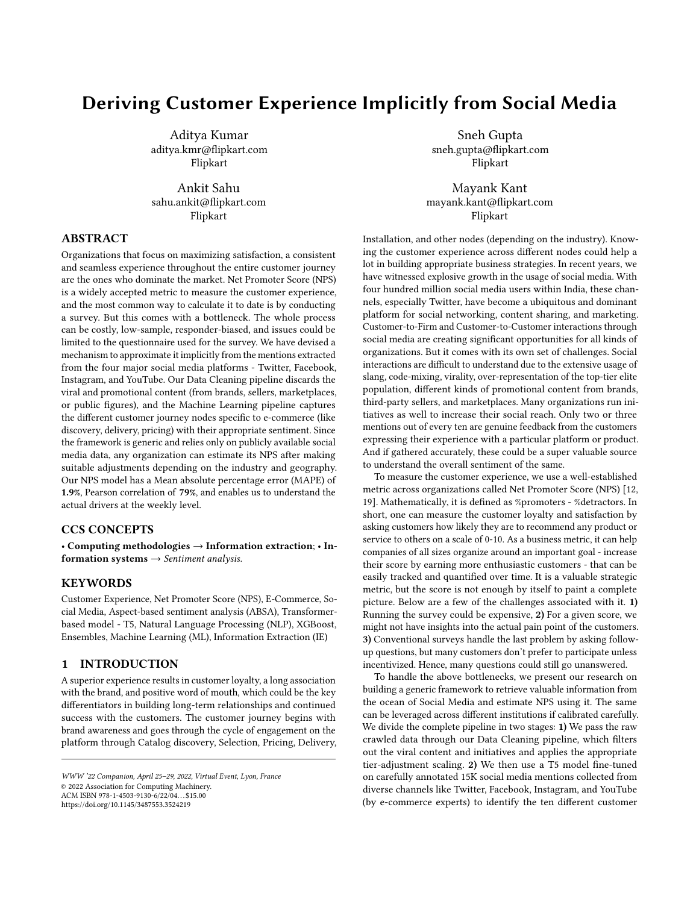# Deriving Customer Experience Implicitly from Social Media

Aditya Kumar aditya.kmr@flipkart.com Flipkart

Ankit Sahu sahu.ankit@flipkart.com Flipkart

# ABSTRACT

Organizations that focus on maximizing satisfaction, a consistent and seamless experience throughout the entire customer journey are the ones who dominate the market. Net Promoter Score (NPS) is a widely accepted metric to measure the customer experience, and the most common way to calculate it to date is by conducting a survey. But this comes with a bottleneck. The whole process can be costly, low-sample, responder-biased, and issues could be limited to the questionnaire used for the survey. We have devised a mechanism to approximate it implicitly from the mentions extracted from the four major social media platforms - Twitter, Facebook, Instagram, and YouTube. Our Data Cleaning pipeline discards the viral and promotional content (from brands, sellers, marketplaces, or public figures), and the Machine Learning pipeline captures the different customer journey nodes specific to e-commerce (like discovery, delivery, pricing) with their appropriate sentiment. Since the framework is generic and relies only on publicly available social media data, any organization can estimate its NPS after making suitable adjustments depending on the industry and geography. Our NPS model has a Mean absolute percentage error (MAPE) of 1.9%, Pearson correlation of 79%, and enables us to understand the actual drivers at the weekly level.

#### CCS CONCEPTS

• Computing methodologies → Information extraction; • Information systems  $\rightarrow$  Sentiment analysis.

# KEYWORDS

Customer Experience, Net Promoter Score (NPS), E-Commerce, Social Media, Aspect-based sentiment analysis (ABSA), Transformerbased model - T5, Natural Language Processing (NLP), XGBoost, Ensembles, Machine Learning (ML), Information Extraction (IE)

# 1 INTRODUCTION

A superior experience results in customer loyalty, a long association with the brand, and positive word of mouth, which could be the key differentiators in building long-term relationships and continued success with the customers. The customer journey begins with brand awareness and goes through the cycle of engagement on the platform through Catalog discovery, Selection, Pricing, Delivery,

WWW '22 Companion, April 25–29, 2022, Virtual Event, Lyon, France © 2022 Association for Computing Machinery. ACM ISBN 978-1-4503-9130-6/22/04. . . \$15.00 <https://doi.org/10.1145/3487553.3524219>

Sneh Gupta sneh.gupta@flipkart.com Flipkart

Mayank Kant mayank.kant@flipkart.com Flipkart

Installation, and other nodes (depending on the industry). Knowing the customer experience across different nodes could help a lot in building appropriate business strategies. In recent years, we have witnessed explosive growth in the usage of social media. With four hundred million social media users within India, these channels, especially Twitter, have become a ubiquitous and dominant platform for social networking, content sharing, and marketing. Customer-to-Firm and Customer-to-Customer interactions through social media are creating significant opportunities for all kinds of organizations. But it comes with its own set of challenges. Social interactions are difficult to understand due to the extensive usage of slang, code-mixing, virality, over-representation of the top-tier elite population, different kinds of promotional content from brands, third-party sellers, and marketplaces. Many organizations run initiatives as well to increase their social reach. Only two or three mentions out of every ten are genuine feedback from the customers expressing their experience with a particular platform or product. And if gathered accurately, these could be a super valuable source to understand the overall sentiment of the same.

To measure the customer experience, we use a well-established metric across organizations called Net Promoter Score (NPS) [\[12,](#page-4-0) [19\]](#page-4-1). Mathematically, it is defined as %promoters - %detractors. In short, one can measure the customer loyalty and satisfaction by asking customers how likely they are to recommend any product or service to others on a scale of 0-10. As a business metric, it can help companies of all sizes organize around an important goal - increase their score by earning more enthusiastic customers - that can be easily tracked and quantified over time. It is a valuable strategic metric, but the score is not enough by itself to paint a complete picture. Below are a few of the challenges associated with it. 1) Running the survey could be expensive, 2) For a given score, we might not have insights into the actual pain point of the customers. 3) Conventional surveys handle the last problem by asking followup questions, but many customers don't prefer to participate unless incentivized. Hence, many questions could still go unanswered.

To handle the above bottlenecks, we present our research on building a generic framework to retrieve valuable information from the ocean of Social Media and estimate NPS using it. The same can be leveraged across different institutions if calibrated carefully. We divide the complete pipeline in two stages: 1) We pass the raw crawled data through our Data Cleaning pipeline, which filters out the viral content and initiatives and applies the appropriate tier-adjustment scaling. 2) We then use a T5 model fine-tuned on carefully annotated 15K social media mentions collected from diverse channels like Twitter, Facebook, Instagram, and YouTube (by e-commerce experts) to identify the ten different customer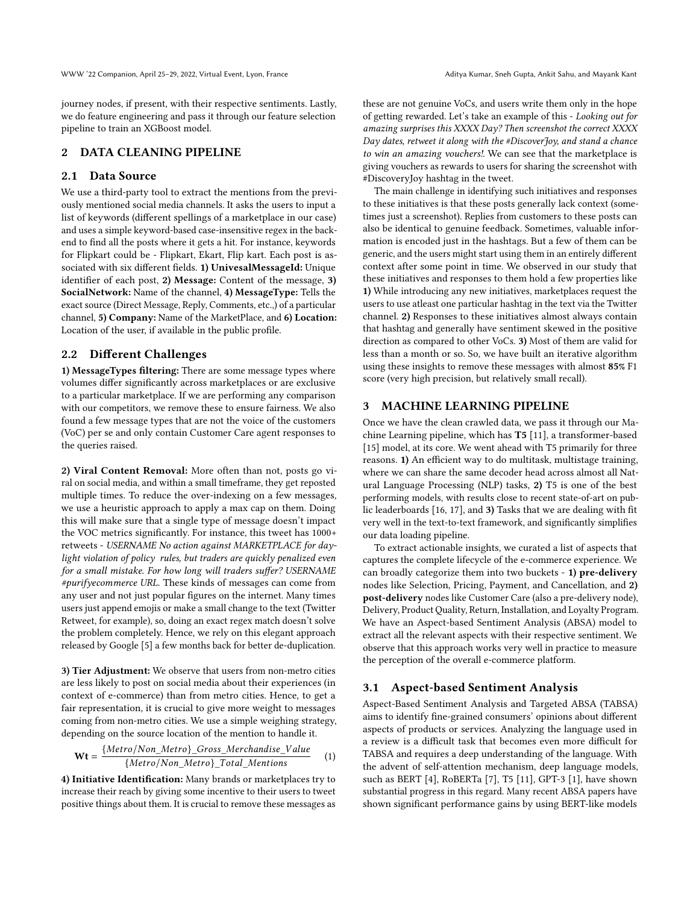journey nodes, if present, with their respective sentiments. Lastly, we do feature engineering and pass it through our feature selection pipeline to train an XGBoost model.

## 2 DATA CLEANING PIPELINE

# 2.1 Data Source

We use a third-party tool to extract the mentions from the previously mentioned social media channels. It asks the users to input a list of keywords (different spellings of a marketplace in our case) and uses a simple keyword-based case-insensitive regex in the backend to find all the posts where it gets a hit. For instance, keywords for Flipkart could be - Flipkart, Ekart, Flip kart. Each post is associated with six different fields. 1) UnivesalMessageId: Unique identifier of each post, 2) Message: Content of the message, 3) SocialNetwork: Name of the channel, 4) MessageType: Tells the exact source (Direct Message, Reply, Comments, etc.,) of a particular channel, 5) Company: Name of the MarketPlace, and 6) Location: Location of the user, if available in the public profile.

#### 2.2 Different Challenges

1) MessageTypes filtering: There are some message types where volumes differ significantly across marketplaces or are exclusive to a particular marketplace. If we are performing any comparison with our competitors, we remove these to ensure fairness. We also found a few message types that are not the voice of the customers (VoC) per se and only contain Customer Care agent responses to the queries raised.

2) Viral Content Removal: More often than not, posts go viral on social media, and within a small timeframe, they get reposted multiple times. To reduce the over-indexing on a few messages, we use a heuristic approach to apply a max cap on them. Doing this will make sure that a single type of message doesn't impact the VOC metrics significantly. For instance, this tweet has 1000+ retweets - USERNAME No action against MARKETPLACE for daylight violation of policy rules, but traders are quickly penalized even for a small mistake. For how long will traders suffer? USERNAME #purifyecommerce URL. These kinds of messages can come from any user and not just popular figures on the internet. Many times users just append emojis or make a small change to the text (Twitter Retweet, for example), so, doing an exact regex match doesn't solve the problem completely. Hence, we rely on this elegant approach released by Google [\[5\]](#page-4-2) a few months back for better de-duplication.

3) Tier Adjustment: We observe that users from non-metro cities are less likely to post on social media about their experiences (in context of e-commerce) than from metro cities. Hence, to get a fair representation, it is crucial to give more weight to messages coming from non-metro cities. We use a simple weighing strategy, depending on the source location of the mention to handle it.

$$
Wt = \frac{\{Metro/Non\_Metro\}\_Gross\_Merchandise\_Value}{\{Metro/Non\_Metro\}\_Total\_Methods}
$$
 (1)

4) Initiative Identification: Many brands or marketplaces try to increase their reach by giving some incentive to their users to tweet positive things about them. It is crucial to remove these messages as these are not genuine VoCs, and users write them only in the hope of getting rewarded. Let's take an example of this - Looking out for amazing surprises this XXXX Day? Then screenshot the correct XXXX Day dates, retweet it along with the #DiscoverJoy, and stand a chance to win an amazing vouchers!. We can see that the marketplace is giving vouchers as rewards to users for sharing the screenshot with #DiscoveryJoy hashtag in the tweet.

The main challenge in identifying such initiatives and responses to these initiatives is that these posts generally lack context (sometimes just a screenshot). Replies from customers to these posts can also be identical to genuine feedback. Sometimes, valuable information is encoded just in the hashtags. But a few of them can be generic, and the users might start using them in an entirely different context after some point in time. We observed in our study that these initiatives and responses to them hold a few properties like 1) While introducing any new initiatives, marketplaces request the users to use atleast one particular hashtag in the text via the Twitter channel. 2) Responses to these initiatives almost always contain that hashtag and generally have sentiment skewed in the positive direction as compared to other VoCs. 3) Most of them are valid for less than a month or so. So, we have built an iterative algorithm using these insights to remove these messages with almost 85% F1 score (very high precision, but relatively small recall).

#### 3 MACHINE LEARNING PIPELINE

Once we have the clean crawled data, we pass it through our Machine Learning pipeline, which has T5 [\[11\]](#page-4-3), a transformer-based [\[15\]](#page-4-4) model, at its core. We went ahead with T5 primarily for three reasons. 1) An efficient way to do multitask, multistage training, where we can share the same decoder head across almost all Natural Language Processing (NLP) tasks, 2) T5 is one of the best performing models, with results close to recent state-of-art on public leaderboards [\[16,](#page-4-5) [17\]](#page-4-6), and 3) Tasks that we are dealing with fit very well in the text-to-text framework, and significantly simplifies our data loading pipeline.

To extract actionable insights, we curated a list of aspects that captures the complete lifecycle of the e-commerce experience. We can broadly categorize them into two buckets - 1) pre-delivery nodes like Selection, Pricing, Payment, and Cancellation, and 2) post-delivery nodes like Customer Care (also a pre-delivery node), Delivery, Product Quality, Return, Installation, and Loyalty Program. We have an Aspect-based Sentiment Analysis (ABSA) model to extract all the relevant aspects with their respective sentiment. We observe that this approach works very well in practice to measure the perception of the overall e-commerce platform.

#### 3.1 Aspect-based Sentiment Analysis

Aspect-Based Sentiment Analysis and Targeted ABSA (TABSA) aims to identify fine-grained consumers' opinions about different aspects of products or services. Analyzing the language used in a review is a difficult task that becomes even more difficult for TABSA and requires a deep understanding of the language. With the advent of self-attention mechanism, deep language models, such as BERT [\[4\]](#page-4-7), RoBERTa [\[7\]](#page-4-8), T5 [\[11\]](#page-4-3), GPT-3 [\[1\]](#page-4-9), have shown substantial progress in this regard. Many recent ABSA papers have shown significant performance gains by using BERT-like models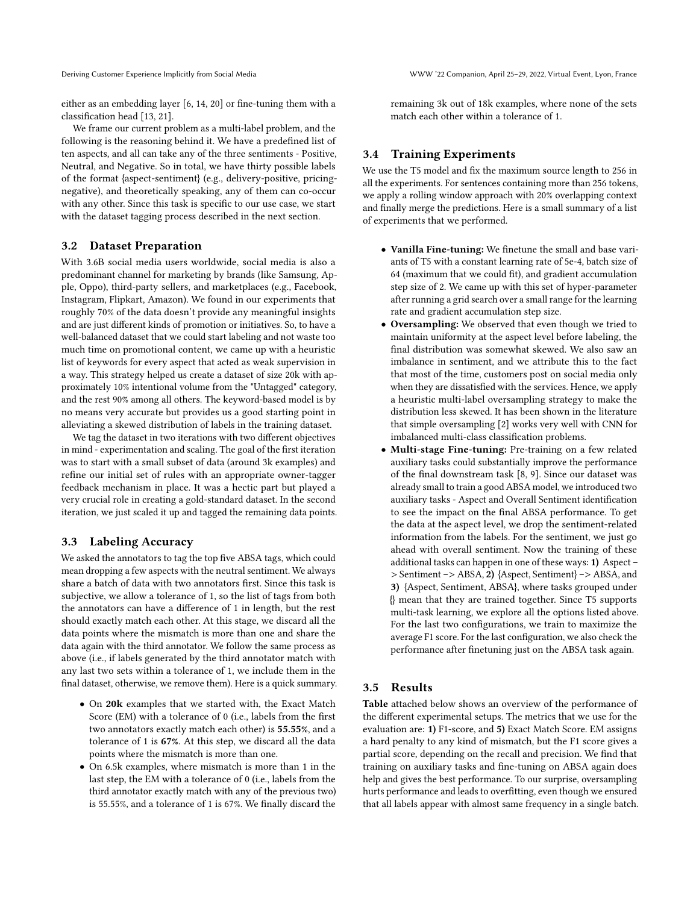either as an embedding layer [\[6,](#page-4-10) [14,](#page-4-11) [20\]](#page-4-12) or fine-tuning them with a classification head [\[13,](#page-4-13) [21\]](#page-4-14).

We frame our current problem as a multi-label problem, and the following is the reasoning behind it. We have a predefined list of ten aspects, and all can take any of the three sentiments - Positive, Neutral, and Negative. So in total, we have thirty possible labels of the format {aspect-sentiment} (e.g., delivery-positive, pricingnegative), and theoretically speaking, any of them can co-occur with any other. Since this task is specific to our use case, we start with the dataset tagging process described in the next section.

#### 3.2 Dataset Preparation

With 3.6B social media users worldwide, social media is also a predominant channel for marketing by brands (like Samsung, Apple, Oppo), third-party sellers, and marketplaces (e.g., Facebook, Instagram, Flipkart, Amazon). We found in our experiments that roughly 70% of the data doesn't provide any meaningful insights and are just different kinds of promotion or initiatives. So, to have a well-balanced dataset that we could start labeling and not waste too much time on promotional content, we came up with a heuristic list of keywords for every aspect that acted as weak supervision in a way. This strategy helped us create a dataset of size 20k with approximately 10% intentional volume from the "Untagged" category, and the rest 90% among all others. The keyword-based model is by no means very accurate but provides us a good starting point in alleviating a skewed distribution of labels in the training dataset.

We tag the dataset in two iterations with two different objectives in mind - experimentation and scaling. The goal of the first iteration was to start with a small subset of data (around 3k examples) and refine our initial set of rules with an appropriate owner-tagger feedback mechanism in place. It was a hectic part but played a very crucial role in creating a gold-standard dataset. In the second iteration, we just scaled it up and tagged the remaining data points.

#### 3.3 Labeling Accuracy

We asked the annotators to tag the top five ABSA tags, which could mean dropping a few aspects with the neutral sentiment. We always share a batch of data with two annotators first. Since this task is subjective, we allow a tolerance of 1, so the list of tags from both the annotators can have a difference of 1 in length, but the rest should exactly match each other. At this stage, we discard all the data points where the mismatch is more than one and share the data again with the third annotator. We follow the same process as above (i.e., if labels generated by the third annotator match with any last two sets within a tolerance of 1, we include them in the final dataset, otherwise, we remove them). Here is a quick summary.

- On 20k examples that we started with, the Exact Match Score (EM) with a tolerance of 0 (i.e., labels from the first two annotators exactly match each other) is 55.55%, and a tolerance of 1 is 67%. At this step, we discard all the data points where the mismatch is more than one.
- On 6.5k examples, where mismatch is more than 1 in the last step, the EM with a tolerance of 0 (i.e., labels from the third annotator exactly match with any of the previous two) is 55.55%, and a tolerance of 1 is 67%. We finally discard the

remaining 3k out of 18k examples, where none of the sets match each other within a tolerance of 1.

## 3.4 Training Experiments

We use the T5 model and fix the maximum source length to 256 in all the experiments. For sentences containing more than 256 tokens, we apply a rolling window approach with 20% overlapping context and finally merge the predictions. Here is a small summary of a list of experiments that we performed.

- Vanilla Fine-tuning: We finetune the small and base variants of T5 with a constant learning rate of 5e-4, batch size of 64 (maximum that we could fit), and gradient accumulation step size of 2. We came up with this set of hyper-parameter after running a grid search over a small range for the learning rate and gradient accumulation step size.
- Oversampling: We observed that even though we tried to maintain uniformity at the aspect level before labeling, the final distribution was somewhat skewed. We also saw an imbalance in sentiment, and we attribute this to the fact that most of the time, customers post on social media only when they are dissatisfied with the services. Hence, we apply a heuristic multi-label oversampling strategy to make the distribution less skewed. It has been shown in the literature that simple oversampling [\[2\]](#page-4-15) works very well with CNN for imbalanced multi-class classification problems.
- Multi-stage Fine-tuning: Pre-training on a few related auxiliary tasks could substantially improve the performance of the final downstream task [\[8,](#page-4-16) [9\]](#page-4-17). Since our dataset was already small to train a good ABSA model, we introduced two auxiliary tasks - Aspect and Overall Sentiment identification to see the impact on the final ABSA performance. To get the data at the aspect level, we drop the sentiment-related information from the labels. For the sentiment, we just go ahead with overall sentiment. Now the training of these additional tasks can happen in one of these ways: 1) Aspect – > Sentiment –> ABSA, 2) {Aspect, Sentiment} –> ABSA, and 3) {Aspect, Sentiment, ABSA}, where tasks grouped under {} mean that they are trained together. Since T5 supports multi-task learning, we explore all the options listed above. For the last two configurations, we train to maximize the average F1 score. For the last configuration, we also check the performance after finetuning just on the ABSA task again.

#### 3.5 Results

Table attached below shows an overview of the performance of the different experimental setups. The metrics that we use for the evaluation are: 1) F1-score, and 5) Exact Match Score. EM assigns a hard penalty to any kind of mismatch, but the F1 score gives a partial score, depending on the recall and precision. We find that training on auxiliary tasks and fine-tuning on ABSA again does help and gives the best performance. To our surprise, oversampling hurts performance and leads to overfitting, even though we ensured that all labels appear with almost same frequency in a single batch.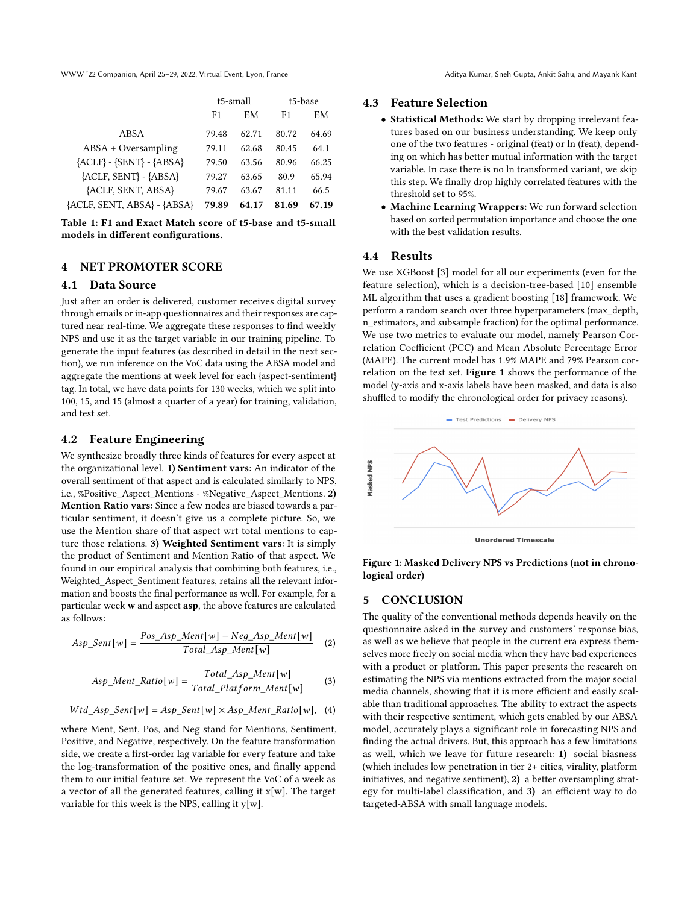WWW '22 Companion, April 25–29, 2022, Virtual Event, Lyon, France Aditya Kumar, Sneh Gupta, Ankit Sahu, and Mayank Kant

t5-small t5-base F1 EM F1 EM ABSA 79.48 62.71 80.72 64.69  $ABSA + Oversampling$  79.11 62.68 80.45 64.1  ${ACLF}$  - {SENT} - {ABSA}  $\begin{array}{|l} \hline \end{array}$  79.50 63.56 80.96 66.25  ${ACLF, SENT} - {ABSA}$  79.27 63.65 80.9 65.94  ${ACLF, SENT, ABSA}$  79.67 63.67 81.11 66.5  ${ACLF, SENT, ABSA} - {ABSA}$  79.89 64.17 81.69 67.19

Table 1: F1 and Exact Match score of t5-base and t5-small models in different configurations.

#### 4 NET PROMOTER SCORE

#### 4.1 Data Source

Just after an order is delivered, customer receives digital survey through emails or in-app questionnaires and their responses are captured near real-time. We aggregate these responses to find weekly NPS and use it as the target variable in our training pipeline. To generate the input features (as described in detail in the next section), we run inference on the VoC data using the ABSA model and aggregate the mentions at week level for each {aspect-sentiment} tag. In total, we have data points for 130 weeks, which we split into 100, 15, and 15 (almost a quarter of a year) for training, validation, and test set.

#### 4.2 Feature Engineering

We synthesize broadly three kinds of features for every aspect at the organizational level. 1) Sentiment vars: An indicator of the overall sentiment of that aspect and is calculated similarly to NPS, i.e., %Positive\_Aspect\_Mentions - %Negative\_Aspect\_Mentions. 2) Mention Ratio vars: Since a few nodes are biased towards a particular sentiment, it doesn't give us a complete picture. So, we use the Mention share of that aspect wrt total mentions to capture those relations. 3) Weighted Sentiment vars: It is simply the product of Sentiment and Mention Ratio of that aspect. We found in our empirical analysis that combining both features, i.e., Weighted\_Aspect\_Sentiment features, retains all the relevant information and boosts the final performance as well. For example, for a particular week w and aspect asp, the above features are calculated as follows:

$$
Asp\_Sent[w] = \frac{Pos\_Asp\_Ment[w] - Neg\_Asp\_Ment[w]}{Total\_Asp\_Ment[w]}
$$
 (2)

$$
Asp\_Ment\_Ratio[w] = \frac{Total\_Asp\_Ment[w]}{Total\_Platform\_Ment[w]}
$$
 (3)

$$
Wtd\_Asp\_Sent[w] = Asp\_Sent[w] \times Asp\_Ment\_Ratio[w], (4)
$$

where Ment, Sent, Pos, and Neg stand for Mentions, Sentiment, Positive, and Negative, respectively. On the feature transformation side, we create a first-order lag variable for every feature and take the log-transformation of the positive ones, and finally append them to our initial feature set. We represent the VoC of a week as a vector of all the generated features, calling it x[w]. The target variable for this week is the NPS, calling it  $y[w]$ .

## 4.3 Feature Selection

- Statistical Methods: We start by dropping irrelevant features based on our business understanding. We keep only one of the two features - original (feat) or ln (feat), depending on which has better mutual information with the target variable. In case there is no ln transformed variant, we skip this step. We finally drop highly correlated features with the threshold set to 95%.
- Machine Learning Wrappers: We run forward selection based on sorted permutation importance and choose the one with the best validation results.

# 4.4 Results

We use XGBoost [\[3\]](#page-4-18) model for all our experiments (even for the feature selection), which is a decision-tree-based [\[10\]](#page-4-19) ensemble ML algorithm that uses a gradient boosting [\[18\]](#page-4-20) framework. We perform a random search over three hyperparameters (max\_depth, n\_estimators, and subsample fraction) for the optimal performance. We use two metrics to evaluate our model, namely Pearson Correlation Coefficient (PCC) and Mean Absolute Percentage Error (MAPE). The current model has 1.9% MAPE and 79% Pearson correlation on the test set. [Figure 1](#page-3-0) shows the performance of the model (y-axis and x-axis labels have been masked, and data is also shuffled to modify the chronological order for privacy reasons).



**Unordered Timescale** 

<span id="page-3-0"></span>Figure 1: Masked Delivery NPS vs Predictions (not in chronological order)

#### 5 CONCLUSION

The quality of the conventional methods depends heavily on the questionnaire asked in the survey and customers' response bias, as well as we believe that people in the current era express themselves more freely on social media when they have bad experiences with a product or platform. This paper presents the research on estimating the NPS via mentions extracted from the major social media channels, showing that it is more efficient and easily scalable than traditional approaches. The ability to extract the aspects with their respective sentiment, which gets enabled by our ABSA model, accurately plays a significant role in forecasting NPS and finding the actual drivers. But, this approach has a few limitations as well, which we leave for future research: 1) social biasness (which includes low penetration in tier 2+ cities, virality, platform initiatives, and negative sentiment), 2) a better oversampling strategy for multi-label classification, and 3) an efficient way to do targeted-ABSA with small language models.